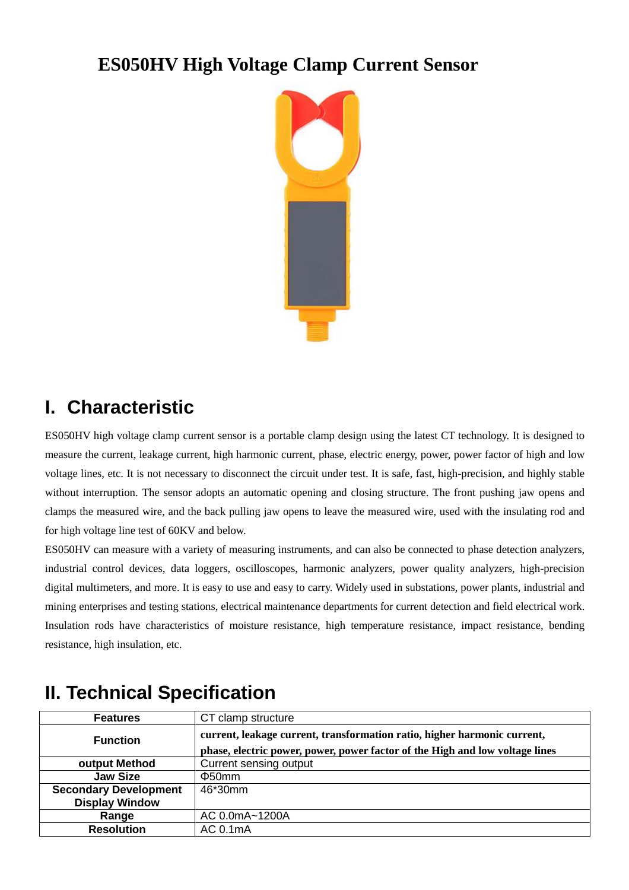## **ES050HV High Voltage Clamp Current Sensor**



## **I. Characteristic**

ES050HV high voltage clamp current sensor is a portable clamp design using the latest CT technology. It is designed to measure the current, leakage current, high harmonic current, phase, electric energy, power, power factor of high and low voltage lines, etc. It is not necessary to disconnect the circuit under test. It is safe, fast, high-precision, and highly stable without interruption. The sensor adopts an automatic opening and closing structure. The front pushing jaw opens and clamps the measured wire, and the back pulling jaw opens to leave the measured wire, used with the insulating rod and for high voltage line test of 60KV and below.

ES050HV can measure with a variety of measuring instruments, and can also be connected to phase detection analyzers, industrial control devices, data loggers, oscilloscopes, harmonic analyzers, power quality analyzers, high-precision digital multimeters, and more. It is easy to use and easy to carry. Widely used in substations, power plants, industrial and mining enterprises and testing stations, electrical maintenance departments for current detection and field electrical work. Insulation rods have characteristics of moisture resistance, high temperature resistance, impact resistance, bending resistance, high insulation, etc.

| <b>Features</b>              | CT clamp structure                                                                                                                                       |
|------------------------------|----------------------------------------------------------------------------------------------------------------------------------------------------------|
| <b>Function</b>              | current, leakage current, transformation ratio, higher harmonic current,<br>phase, electric power, power, power factor of the High and low voltage lines |
| output Method                | Current sensing output                                                                                                                                   |
| <b>Jaw Size</b>              | $\Phi$ 50mm                                                                                                                                              |
| <b>Secondary Development</b> | 46*30mm                                                                                                                                                  |
| <b>Display Window</b>        |                                                                                                                                                          |
| Range                        | AC 0.0mA~1200A                                                                                                                                           |
| <b>Resolution</b>            | AC 0.1mA                                                                                                                                                 |

## **II. Technical Specification**